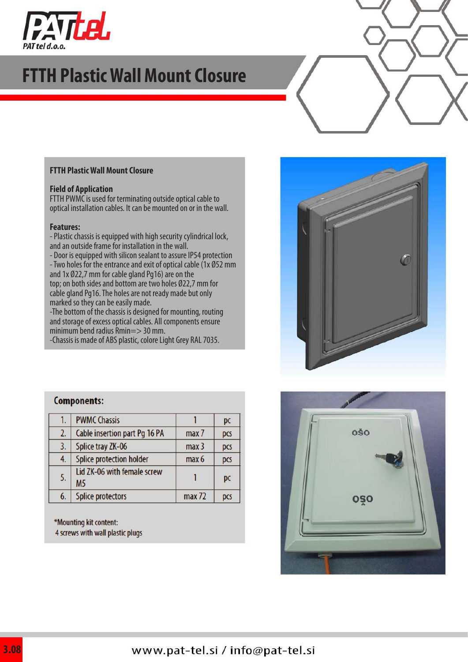

## **FTTH Plastic Wall Mount Closure**

#### **FTTH Plastic Wall Mount Closure**

#### **Field of Application**

FTTH PWMC is used for terminating outside optical cable to optical installation cables. It can be mounted on or in the wall.

#### **Features:**

- Plastic chassis is equipped with high security cylindrical lock, and an outside frame for installation in the wall.

- Door is equipped with silicon sealant to assure IP54 protection - Two holes for the entrance and exit of optical cable (1x Ø52 mm and 1x Ø22,7 mm for cable gland Pg16) are on the top; on both sides and bottom are two holes Ø22,7 mm for cable gland Pg16. The holes are not ready made but only marked so they can be easily made.

-The bottom of the chassis is designed for mounting, routing and storage of excess optical cables. All components ensure minimum bend radius Rmin=> 30 mm.

-Chassis is made of ABS plastic, colore Light Grey RAL 7035.

### **Components:**

| 1. | <b>PWMC Chassis</b>                      |                  | pc  |
|----|------------------------------------------|------------------|-----|
| 2. | Cable insertion part Pg 16 PA            | max 7            | pcs |
| 3. | Splice tray ZK-06                        | max <sub>3</sub> | pcs |
| 4. | Splice protection holder                 | max 6            | pcs |
| 5. | Lid ZK-06 with female screw<br><b>M5</b> |                  | pc  |
| 6. | <b>Splice protectors</b>                 | max 72           | pcs |

\*Mounting kit content: 4 screws with wall plastic plugs